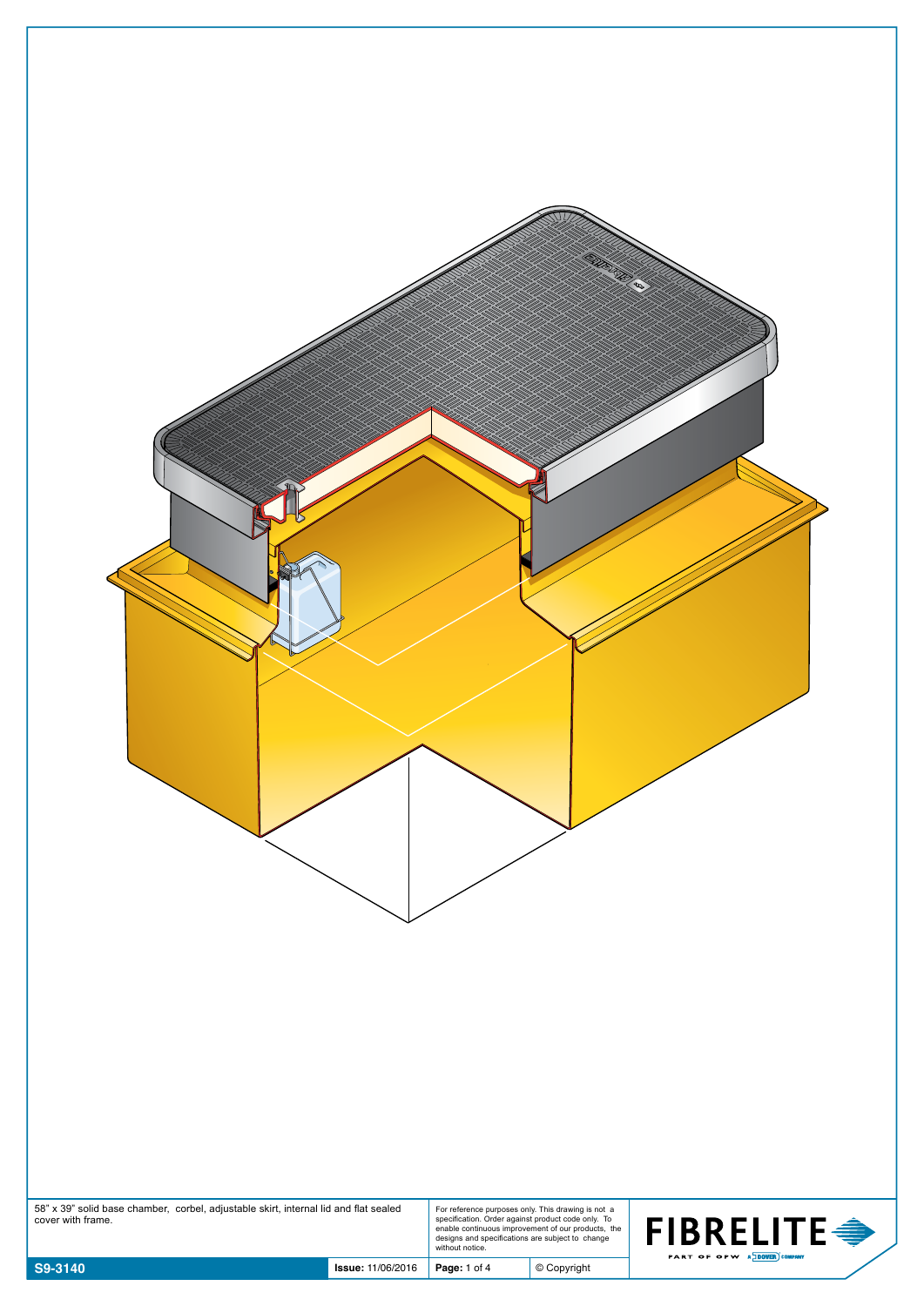| 58" x 39" solid base chamber, corbel, adjustable skirt, internal lid and flat sealed<br>cover with frame. |                          |              | For reference purposes only. This drawing is not a<br>specification. Order against product code only. To<br>enable continuous improvement of our products, the<br>designs and specifications are subject to change<br>without notice. | <b>FIBRELITE →</b>          |
|-----------------------------------------------------------------------------------------------------------|--------------------------|--------------|---------------------------------------------------------------------------------------------------------------------------------------------------------------------------------------------------------------------------------------|-----------------------------|
| S9-3140                                                                                                   | <b>Issue: 11/06/2016</b> | Page: 1 of 4 | $©$ Copyright                                                                                                                                                                                                                         | PART OF OPW A DOVER COMPANY |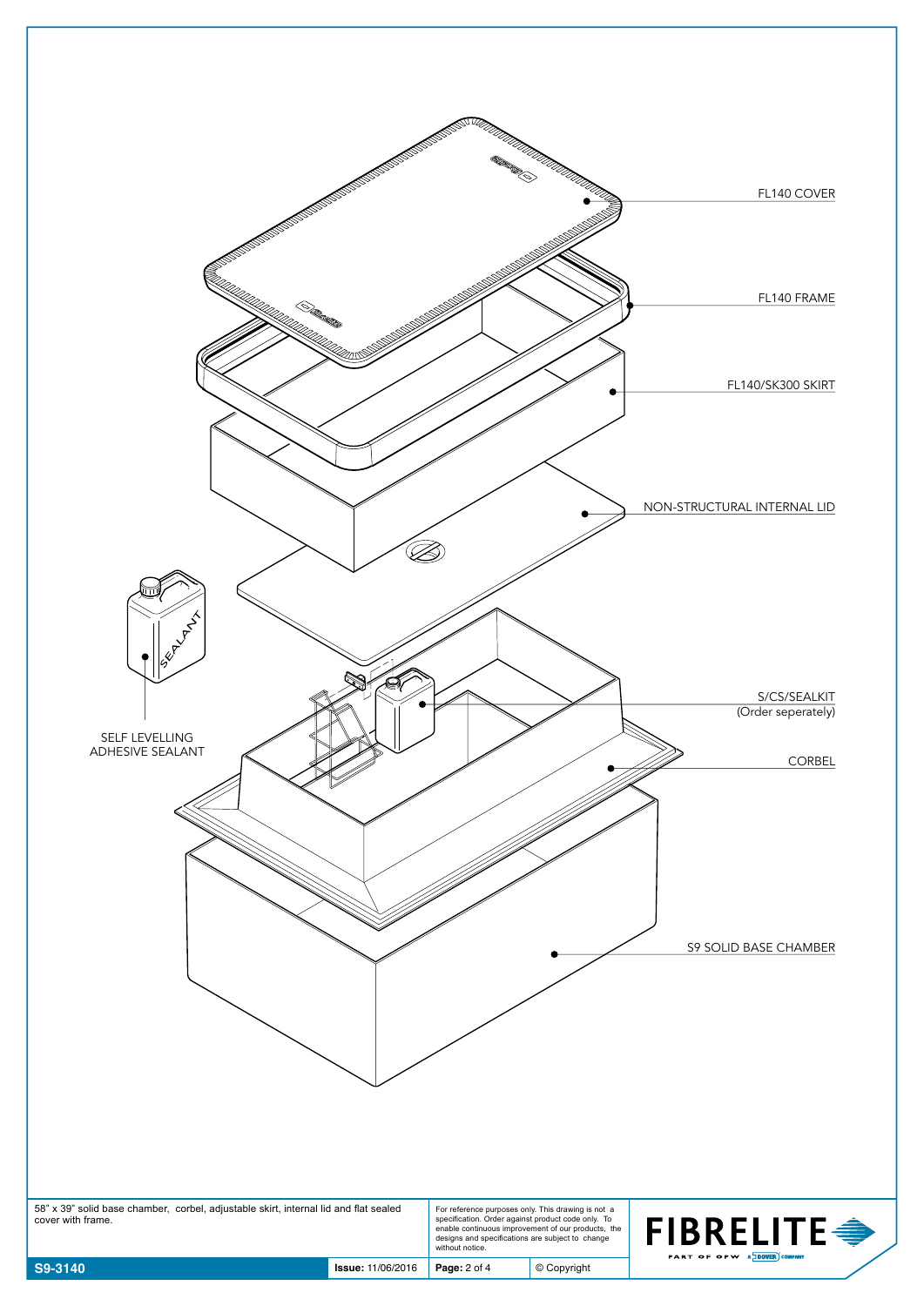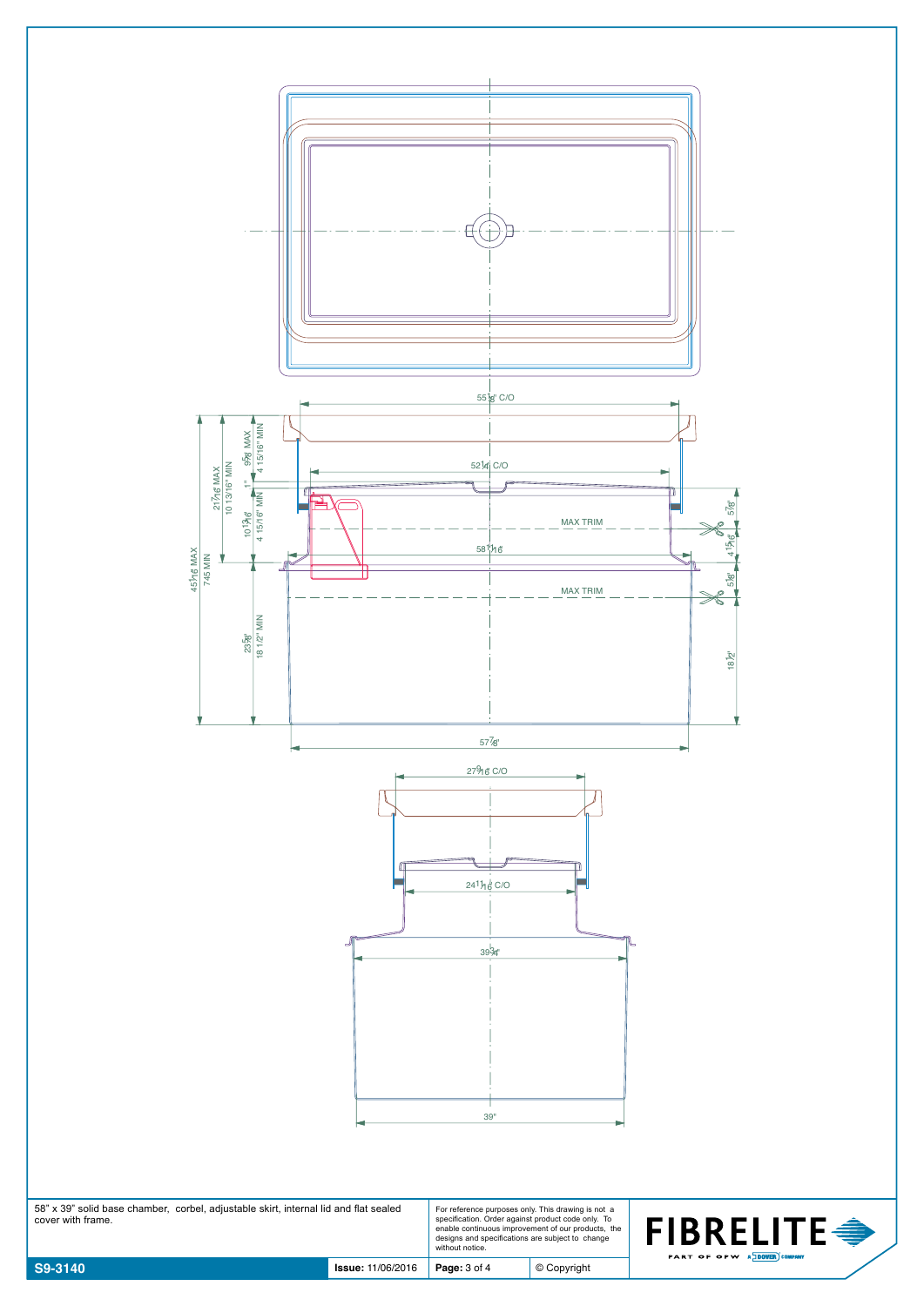

58" x 39" solid base chamber, corbel, adjustable skirt, internal lid and flat sealed cover with frame. For reference purposes only. This drawing is not a specification. Order against product code only. To enable continuous improvement of our products, the designs and specifications are subject to change without notice.



© Copyright